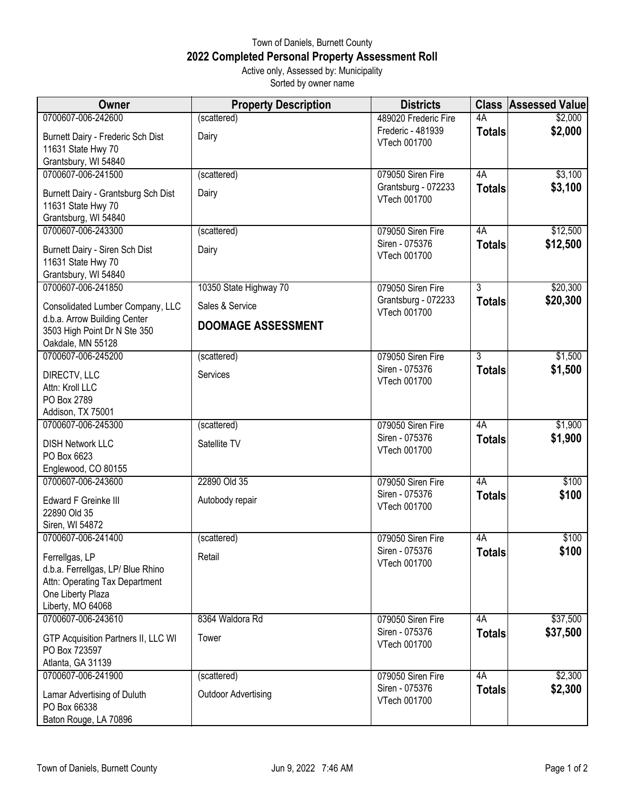## Town of Daniels, Burnett County **2022 Completed Personal Property Assessment Roll** Active only, Assessed by: Municipality

Sorted by owner name

| <b>Owner</b>                                                                      | <b>Property Description</b> | <b>Districts</b>                    | <b>Class</b>   | <b>Assessed Value</b> |
|-----------------------------------------------------------------------------------|-----------------------------|-------------------------------------|----------------|-----------------------|
| 0700607-006-242600                                                                | (scattered)                 | 489020 Frederic Fire                | 4A             | \$2,000               |
| Burnett Dairy - Frederic Sch Dist<br>11631 State Hwy 70                           | Dairy                       | Frederic - 481939<br>VTech 001700   | <b>Totals</b>  | \$2,000               |
| Grantsbury, WI 54840                                                              |                             |                                     |                |                       |
| 0700607-006-241500                                                                | (scattered)                 | 079050 Siren Fire                   | 4A             | \$3,100               |
| Burnett Dairy - Grantsburg Sch Dist<br>11631 State Hwy 70<br>Grantsburg, WI 54840 | Dairy                       | Grantsburg - 072233<br>VTech 001700 | <b>Totals</b>  | \$3,100               |
| 0700607-006-243300                                                                | (scattered)                 | 079050 Siren Fire                   | 4A             | \$12,500              |
| Burnett Dairy - Siren Sch Dist<br>11631 State Hwy 70<br>Grantsbury, WI 54840      | Dairy                       | Siren - 075376<br>VTech 001700      | <b>Totals</b>  | \$12,500              |
| 0700607-006-241850                                                                | 10350 State Highway 70      | 079050 Siren Fire                   | $\overline{3}$ | \$20,300              |
| Consolidated Lumber Company, LLC<br>d.b.a. Arrow Building Center                  | Sales & Service             | Grantsburg - 072233<br>VTech 001700 | <b>Totals</b>  | \$20,300              |
| 3503 High Point Dr N Ste 350<br>Oakdale, MN 55128                                 | <b>DOOMAGE ASSESSMENT</b>   |                                     |                |                       |
| 0700607-006-245200                                                                | (scattered)                 | 079050 Siren Fire                   | $\overline{3}$ | \$1,500               |
| DIRECTV, LLC                                                                      | Services                    | Siren - 075376<br>VTech 001700      | <b>Totals</b>  | \$1,500               |
| Attn: Kroll LLC                                                                   |                             |                                     |                |                       |
| PO Box 2789                                                                       |                             |                                     |                |                       |
| Addison, TX 75001<br>0700607-006-245300                                           | (scattered)                 | 079050 Siren Fire                   | 4A             | \$1,900               |
|                                                                                   |                             | Siren - 075376                      |                | \$1,900               |
| <b>DISH Network LLC</b><br>PO Box 6623                                            | Satellite TV                | VTech 001700                        | <b>Totals</b>  |                       |
| Englewood, CO 80155<br>0700607-006-243600                                         | 22890 Old 35                | 079050 Siren Fire                   | 4A             | \$100                 |
| Edward F Greinke III                                                              | Autobody repair             | Siren - 075376<br>VTech 001700      | <b>Totals</b>  | \$100                 |
| 22890 Old 35                                                                      |                             |                                     |                |                       |
| Siren, WI 54872<br>0700607-006-241400                                             |                             |                                     |                | \$100                 |
|                                                                                   | (scattered)                 | 079050 Siren Fire<br>Siren - 075376 | 4A             | \$100                 |
| Ferrellgas, LP                                                                    | Retail                      | VTech 001700                        | <b>Totals</b>  |                       |
| d.b.a. Ferrellgas, LP/ Blue Rhino                                                 |                             |                                     |                |                       |
| Attn: Operating Tax Department<br>One Liberty Plaza                               |                             |                                     |                |                       |
| Liberty, MO 64068                                                                 |                             |                                     |                |                       |
| 0700607-006-243610                                                                | 8364 Waldora Rd             | 079050 Siren Fire                   | 4A             | \$37,500              |
|                                                                                   |                             | Siren - 075376                      | <b>Totals</b>  | \$37,500              |
| GTP Acquisition Partners II, LLC WI<br>PO Box 723597                              | Tower                       | VTech 001700                        |                |                       |
| Atlanta, GA 31139                                                                 |                             |                                     |                |                       |
| 0700607-006-241900                                                                | (scattered)                 | 079050 Siren Fire                   | 4A             | \$2,300               |
| Lamar Advertising of Duluth                                                       | <b>Outdoor Advertising</b>  | Siren - 075376                      | <b>Totals</b>  | \$2,300               |
| PO Box 66338                                                                      |                             | VTech 001700                        |                |                       |
| Baton Rouge, LA 70896                                                             |                             |                                     |                |                       |